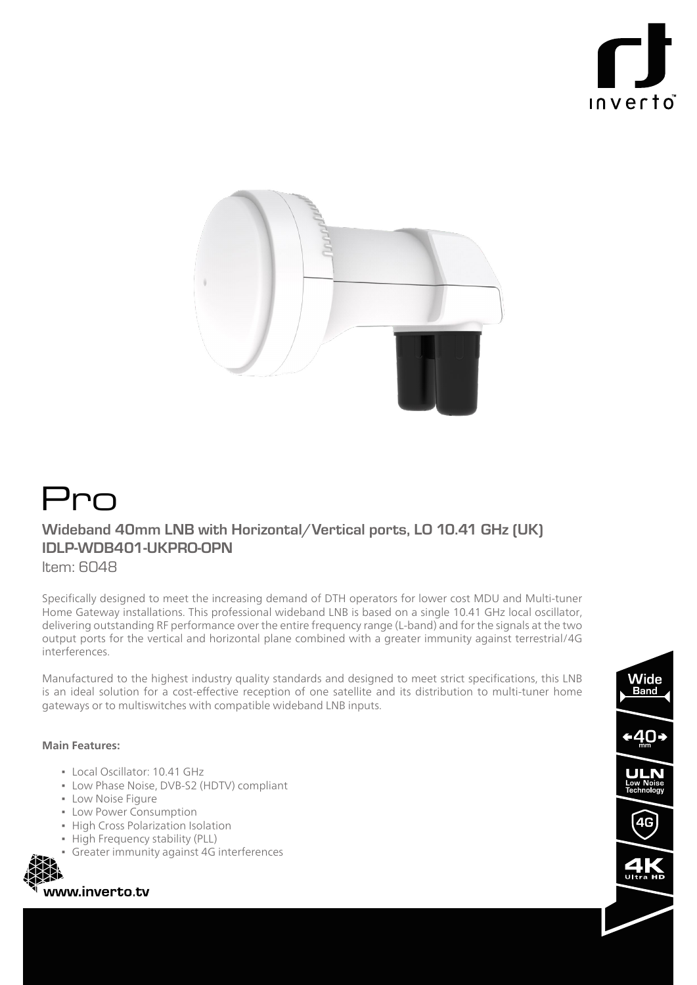



# Pro

## **Wideband 40mm LNB with Horizontal/Vertical ports, LO 10.41 GHz (UK) IDLP-WDB401-UKPRO-OPN**

ltem: 6048

Specifically designed to meet the increasing demand of DTH operators for lower cost MDU and Multi-tuner Home Gateway installations. This professional wideband LNB is based on a single 10.41 GHz local oscillator, delivering outstanding RF performance over the entire frequency range (L-band) and for the signals at the two output ports for the vertical and horizontal plane combined with a greater immunity against terrestrial/4G .interferences

Manufactured to the highest industry quality standards and designed to meet strict specifications, this LNB is an ideal solution for a cost-effective reception of one satellite and its distribution to multi-tuner home gateways or to multiswitches with compatible wideband LNB inputs.

### Main Features:

- Local Oscillator: 10.41 GHz
- Low Phase Noise, DVB-S2 (HDTV) compliant
- **ELOW Noise Figure**
- Low Power Consumption
- **In High Cross Polarization Isolation**
- High Frequency stability (PLL)
- **Greater immunity against 4G interferences**